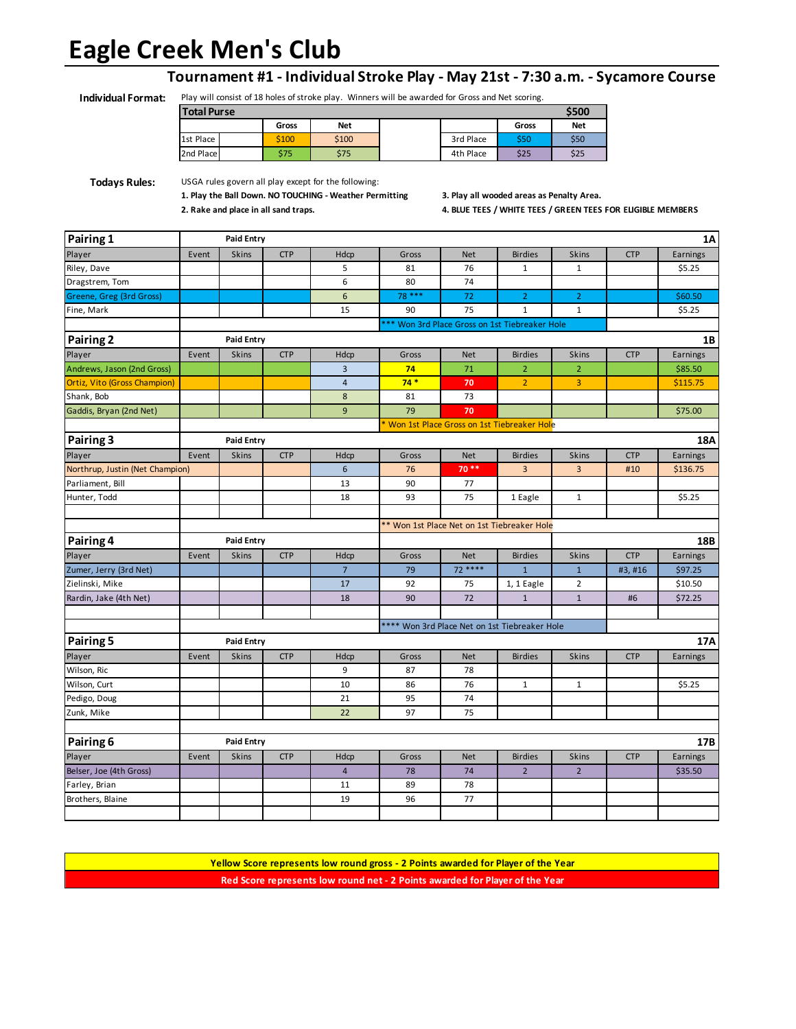# **Eagle Creek Men's Club**

#### **Tournament #1 - Individual Stroke Play - May 21st - 7:30 a.m. - Sycamore Course**

**Individual Format:** Play will consist of 18 holes of stroke play. Winners will be awarded for Gross and Net scoring.

| <b>Total Purse</b> |  |       |            |  |           | \$500 |            |
|--------------------|--|-------|------------|--|-----------|-------|------------|
|                    |  | Gross | <b>Net</b> |  |           | Gross | <b>Net</b> |
| 1st Place          |  | \$100 | \$100      |  | 3rd Place | \$50  | \$50       |
| 2nd Place          |  | \$75  | \$75       |  | 4th Place | \$25  | \$25       |

**Todays Rules:** USGA rules govern all play except for the following:

**1. Play the Ball Down. NO TOUCHING - Weather Permitting 3. Play all wooded areas as Penalty Area.**

**2. Rake and place in all sand traps. 4. BLUE TEES / WHITE TEES / GREEN TEES FOR ELIGIBLE MEMBERS**

| Pairing 1                           |                                               | <b>Paid Entry</b> |            |                         |        |            |                                                |                |            | 1A       |
|-------------------------------------|-----------------------------------------------|-------------------|------------|-------------------------|--------|------------|------------------------------------------------|----------------|------------|----------|
| Player                              | Event                                         | Skins             | <b>CTP</b> | Hdcp                    | Gross  | <b>Net</b> | <b>Birdies</b>                                 | <b>Skins</b>   | <b>CTP</b> | Earnings |
| Riley, Dave                         |                                               |                   |            | 5                       | 81     | 76         | $\mathbf 1$                                    | $\mathbf{1}$   |            | \$5.25   |
| Dragstrem, Tom                      |                                               |                   |            | 6                       | 80     | 74         |                                                |                |            |          |
| Greene, Greg (3rd Gross)            |                                               |                   |            | 6                       | 78 *** | 72         | $\overline{2}$                                 | $\overline{2}$ |            | \$60.50  |
| Fine, Mark                          |                                               |                   |            | 15                      | 90     | 75         | $\mathbf{1}$                                   | $\mathbf{1}$   |            | \$5.25   |
|                                     |                                               |                   |            |                         |        |            | *** Won 3rd Place Gross on 1st Tiebreaker Hole |                |            |          |
| Pairing 2                           | <b>Paid Entry</b>                             |                   |            |                         |        |            | 1B                                             |                |            |          |
| Player                              | Event                                         | Skins             | <b>CTP</b> | Hdcp                    | Gross  | <b>Net</b> | <b>Birdies</b>                                 | <b>Skins</b>   | <b>CTP</b> | Earnings |
| Andrews, Jason (2nd Gross)          |                                               |                   |            | $\overline{\mathbf{3}}$ | 74     | 71         | $\overline{2}$                                 | $\overline{2}$ |            | \$85.50  |
| <b>Ortiz, Vito (Gross Champion)</b> |                                               |                   |            | $\overline{4}$          | $74*$  | 70         | $\overline{2}$                                 | 3              |            | \$115.75 |
| Shank, Bob                          |                                               |                   |            | 8                       | 81     | 73         |                                                |                |            |          |
| Gaddis, Bryan (2nd Net)             |                                               |                   |            | 9                       | 79     | 70         |                                                |                |            | \$75.00  |
|                                     | Won 1st Place Gross on 1st Tiebreaker Hole    |                   |            |                         |        |            |                                                |                |            |          |
| Pairing 3                           |                                               | <b>Paid Entry</b> |            |                         |        |            |                                                |                |            | 18A      |
| Player                              | Event                                         | Skins             | <b>CTP</b> | Hdcp                    | Gross  | <b>Net</b> | <b>Birdies</b>                                 | <b>Skins</b>   | <b>CTP</b> | Earnings |
| Northrup, Justin (Net Champion)     |                                               |                   |            | $6\overline{6}$         | 76     | 70 **      | $\overline{3}$                                 | 3              | #10        | \$136.75 |
| Parliament, Bill                    |                                               |                   |            | 13                      | 90     | 77         |                                                |                |            |          |
| Hunter, Todd                        |                                               |                   |            | 18                      | 93     | 75         | 1 Eagle                                        | $\mathbf{1}$   |            | \$5.25   |
|                                     |                                               |                   |            |                         |        |            |                                                |                |            |          |
|                                     |                                               |                   |            |                         |        |            | ** Won 1st Place Net on 1st Tiebreaker Hole    |                |            |          |
| Pairing 4                           |                                               | <b>Paid Entry</b> |            |                         |        |            |                                                | 18B            |            |          |
| Player                              | Event                                         | <b>Skins</b>      | <b>CTP</b> | Hdcp                    | Gross  | <b>Net</b> | <b>Birdies</b>                                 | <b>Skins</b>   | <b>CTP</b> | Earnings |
| Zumer, Jerry (3rd Net)              |                                               |                   |            | $\overline{7}$          | 79     | $72***$    | $\overline{1}$                                 | $\mathbf{1}$   | #3, #16    | \$97.25  |
| Zielinski, Mike                     |                                               |                   |            | 17                      | 92     | 75         | 1, 1 Eagle                                     | $\overline{2}$ |            | \$10.50  |
| Rardin, Jake (4th Net)              |                                               |                   |            | 18                      | 90     | 72         | $1\,$                                          | $1\,$          | #6         | \$72.25  |
|                                     |                                               |                   |            |                         |        |            |                                                |                |            |          |
|                                     | **** Won 3rd Place Net on 1st Tiebreaker Hole |                   |            |                         |        |            |                                                |                |            |          |
| Pairing 5                           |                                               | <b>Paid Entry</b> |            |                         |        |            |                                                |                |            | 17A      |
| Player                              | Event                                         | Skins             | <b>CTP</b> | Hdcp                    | Gross  | <b>Net</b> | <b>Birdies</b>                                 | <b>Skins</b>   | <b>CTP</b> | Earnings |
| Wilson, Ric                         |                                               |                   |            | 9                       | 87     | 78         |                                                |                |            |          |
| Wilson, Curt                        |                                               |                   |            | 10                      | 86     | 76         | $\mathbf 1$                                    | $\mathbf{1}$   |            | \$5.25   |
| Pedigo, Doug                        |                                               |                   |            | 21                      | 95     | 74         |                                                |                |            |          |
| Zunk, Mike                          |                                               |                   |            | 22                      | 97     | 75         |                                                |                |            |          |
|                                     |                                               |                   |            |                         |        |            |                                                |                |            |          |
| Pairing 6                           |                                               | <b>Paid Entry</b> |            |                         |        |            |                                                |                |            | 17B      |
| Player                              | Event                                         | Skins             | <b>CTP</b> | Hdcp                    | Gross  | <b>Net</b> | <b>Birdies</b>                                 | Skins          | <b>CTP</b> | Earnings |
| Belser, Joe (4th Gross)             |                                               |                   |            | $\overline{4}$          | 78     | 74         | $\overline{2}$                                 | $\overline{2}$ |            | \$35.50  |
| Farley, Brian                       |                                               |                   |            | 11                      | 89     | 78         |                                                |                |            |          |
| Brothers, Blaine                    |                                               |                   |            | 19                      | 96     | 77         |                                                |                |            |          |
|                                     |                                               |                   |            |                         |        |            |                                                |                |            |          |
|                                     |                                               |                   |            |                         |        |            |                                                |                |            |          |

**Yellow Score represents low round gross - 2 Points awarded for Player of the Year Red Score represents low round net - 2 Points awarded for Player of the Year**